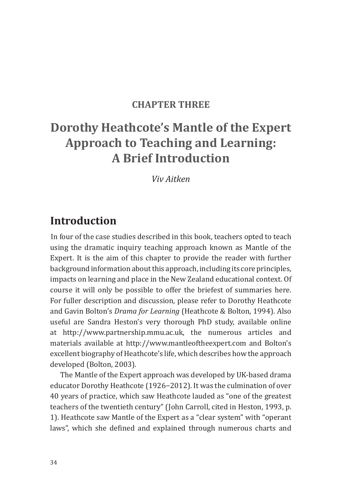#### **Chapter Three**

# **Dorothy Heathcote's Mantle of the Expert Approach to Teaching and Learning: A Brief Introduction**

*Viv Aitken*

## **Introduction**

In four of the case studies described in this book, teachers opted to teach using the dramatic inquiry teaching approach known as Mantle of the Expert. It is the aim of this chapter to provide the reader with further background information about this approach, including its core principles, impacts on learning and place in the New Zealand educational context. Of course it will only be possible to offer the briefest of summaries here. For fuller description and discussion, please refer to Dorothy Heathcote and Gavin Bolton's *Drama for Learning* (Heathcote & Bolton, 1994). Also useful are Sandra Heston's very thorough PhD study, available online at http://www.partnership.mmu.ac.uk, the numerous articles and materials available at http://www.mantleoftheexpert.com and Bolton's excellent biography of Heathcote's life, which describes how the approach developed (Bolton, 2003).

The Mantle of the Expert approach was developed by UK-based drama educator Dorothy Heathcote (1926−2012). It was the culmination of over 40 years of practice, which saw Heathcote lauded as "one of the greatest teachers of the twentieth century" (John Carroll, cited in Heston, 1993, p. 1). Heathcote saw Mantle of the Expert as a "clear system" with "operant laws", which she defined and explained through numerous charts and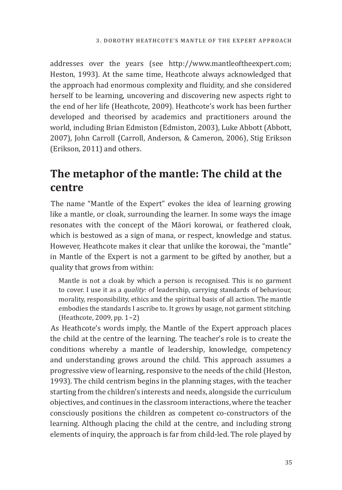addresses over the years (see http://www.mantleoftheexpert.com; Heston, 1993). At the same time, Heathcote always acknowledged that the approach had enormous complexity and fluidity, and she considered herself to be learning, uncovering and discovering new aspects right to the end of her life (Heathcote, 2009). Heathcote's work has been further developed and theorised by academics and practitioners around the world, including Brian Edmiston (Edmiston, 2003), Luke Abbott (Abbott, 2007), John Carroll (Carroll, Anderson, & Cameron, 2006), Stig Erikson (Erikson, 2011) and others.

# **The metaphor of the mantle: The child at the centre**

The name "Mantle of the Expert" evokes the idea of learning growing like a mantle, or cloak, surrounding the learner. In some ways the image resonates with the concept of the Māori korowai, or feathered cloak, which is bestowed as a sign of mana, or respect, knowledge and status. However, Heathcote makes it clear that unlike the korowai, the "mantle" in Mantle of the Expert is not a garment to be gifted by another, but a quality that grows from within:

Mantle is not a cloak by which a person is recognised. This is no garment to cover. I use it as a *quality*: of leadership, carrying standards of behaviour, morality, responsibility, ethics and the spiritual basis of all action. The mantle embodies the standards I ascribe to. It grows by usage, not garment stitching. (Heathcote, 2009, pp. 1−2)

As Heathcote's words imply, the Mantle of the Expert approach places the child at the centre of the learning. The teacher's role is to create the conditions whereby a mantle of leadership, knowledge, competency and understanding grows around the child. This approach assumes a progressive view of learning, responsive to the needs of the child (Heston, 1993). The child centrism begins in the planning stages, with the teacher starting from the children's interests and needs, alongside the curriculum objectives, and continues in the classroom interactions, where the teacher consciously positions the children as competent co-constructors of the learning. Although placing the child at the centre, and including strong elements of inquiry, the approach is far from child-led. The role played by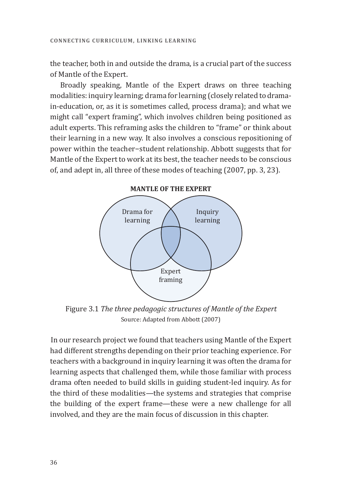the teacher, both in and outside the drama, is a crucial part of the success of Mantle of the Expert.

Broadly speaking, Mantle of the Expert draws on three teaching modalities: inquiry learning; drama for learning (closely related to dramain-education, or, as it is sometimes called, process drama); and what we might call "expert framing", which involves children being positioned as adult experts. This reframing asks the children to "frame" or think about their learning in a new way. It also involves a conscious repositioning of power within the teacher−student relationship. Abbott suggests that for Mantle of the Expert to work at its best, the teacher needs to be conscious of, and adept in, all three of these modes of teaching (2007, pp. 3, 23).



**MANTLE OF THE expert**

Figure 3.1 *The three pedagogic structures of Mantle of the Expert*  Source: Adapted from Abbott (2007)

In our research project we found that teachers using Mantle of the Expert had different strengths depending on their prior teaching experience. For teachers with a background in inquiry learning it was often the drama for learning aspects that challenged them, while those familiar with process drama often needed to build skills in guiding student-led inquiry. As for the third of these modalities—the systems and strategies that comprise the building of the expert frame—these were a new challenge for all involved, and they are the main focus of discussion in this chapter.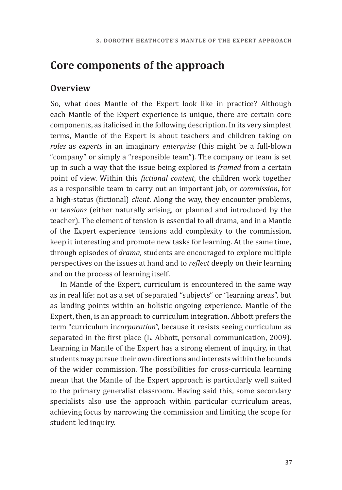## **Core components of the approach**

#### **Overview**

So, what does Mantle of the Expert look like in practice? Although each Mantle of the Expert experience is unique, there are certain core components, as italicised in the following description. In its very simplest terms, Mantle of the Expert is about teachers and children taking on *roles* as *experts* in an imaginary *enterprise* (this might be a full-blown "company" or simply a "responsible team")*.* The company or team is set up in such a way that the issue being explored is *framed* from a certain point of view. Within this *fictional context*, the children work together as a responsible team to carry out an important job, or *commission*, for a high-status (fictional) *client*. Along the way, they encounter problems, or *tensions* (either naturally arising, or planned and introduced by the teacher). The element of tension is essential to all drama, and in a Mantle of the Expert experience tensions add complexity to the commission, keep it interesting and promote new tasks for learning. At the same time, through episodes of *drama*, students are encouraged to explore multiple perspectives on the issues at hand and to *reflect* deeply on their learning and on the process of learning itself.

In Mantle of the Expert, curriculum is encountered in the same way as in real life: not as a set of separated "subjects" or "learning areas", but as landing points within an holistic ongoing experience. Mantle of the Expert, then, is an approach to curriculum integration. Abbott prefers the term "curriculum in*corporation*", because it resists seeing curriculum as separated in the first place (L. Abbott, personal communication, 2009). Learning in Mantle of the Expert has a strong element of inquiry, in that students may pursue their own directions and interests within the bounds of the wider commission. The possibilities for cross-curricula learning mean that the Mantle of the Expert approach is particularly well suited to the primary generalist classroom. Having said this, some secondary specialists also use the approach within particular curriculum areas, achieving focus by narrowing the commission and limiting the scope for student-led inquiry.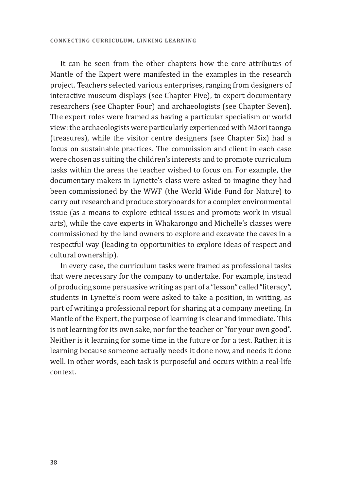It can be seen from the other chapters how the core attributes of Mantle of the Expert were manifested in the examples in the research project. Teachers selected various enterprises, ranging from designers of interactive museum displays (see Chapter Five), to expert documentary researchers (see Chapter Four) and archaeologists (see Chapter Seven). The expert roles were framed as having a particular specialism or world view: the archaeologists were particularly experienced with Māori taonga (treasures), while the visitor centre designers (see Chapter Six) had a focus on sustainable practices. The commission and client in each case were chosen as suiting the children's interests and to promote curriculum tasks within the areas the teacher wished to focus on. For example, the documentary makers in Lynette's class were asked to imagine they had been commissioned by the WWF (the World Wide Fund for Nature) to carry out research and produce storyboards for a complex environmental issue (as a means to explore ethical issues and promote work in visual arts), while the cave experts in Whakarongo and Michelle's classes were commissioned by the land owners to explore and excavate the caves in a respectful way (leading to opportunities to explore ideas of respect and cultural ownership).

In every case, the curriculum tasks were framed as professional tasks that were necessary for the company to undertake. For example, instead of producing some persuasive writing as part of a "lesson" called "literacy", students in Lynette's room were asked to take a position, in writing, as part of writing a professional report for sharing at a company meeting. In Mantle of the Expert, the purpose of learning is clear and immediate. This is not learning for its own sake, nor for the teacher or "for your own good". Neither is it learning for some time in the future or for a test. Rather, it is learning because someone actually needs it done now, and needs it done well. In other words, each task is purposeful and occurs within a real-life context.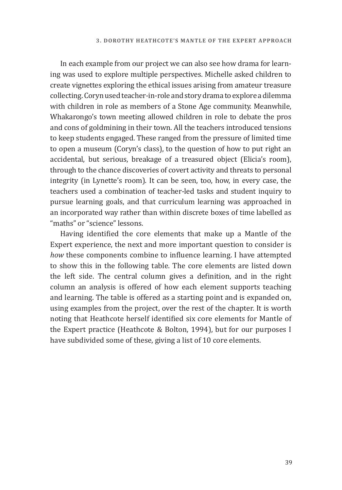In each example from our project we can also see how drama for learning was used to explore multiple perspectives. Michelle asked children to create vignettes exploring the ethical issues arising from amateur treasure collecting. Coryn used teacher-in-role and story drama to explore a dilemma with children in role as members of a Stone Age community. Meanwhile, Whakarongo's town meeting allowed children in role to debate the pros and cons of goldmining in their town. All the teachers introduced tensions to keep students engaged. These ranged from the pressure of limited time to open a museum (Coryn's class), to the question of how to put right an accidental, but serious, breakage of a treasured object (Elicia's room), through to the chance discoveries of covert activity and threats to personal integrity (in Lynette's room). It can be seen, too, how, in every case, the teachers used a combination of teacher-led tasks and student inquiry to pursue learning goals, and that curriculum learning was approached in an incorporated way rather than within discrete boxes of time labelled as "maths" or "science" lessons.

Having identified the core elements that make up a Mantle of the Expert experience, the next and more important question to consider is *how* these components combine to influence learning. I have attempted to show this in the following table. The core elements are listed down the left side. The central column gives a definition, and in the right column an analysis is offered of how each element supports teaching and learning. The table is offered as a starting point and is expanded on, using examples from the project, over the rest of the chapter. It is worth noting that Heathcote herself identified six core elements for Mantle of the Expert practice (Heathcote & Bolton, 1994), but for our purposes I have subdivided some of these, giving a list of 10 core elements.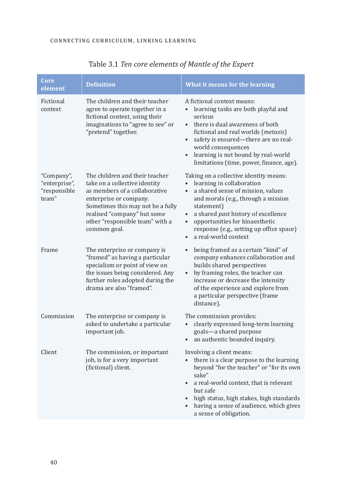| Core<br>element                                      | <b>Definition</b>                                                                                                                                                                                                                                 | What it means for the learning                                                                                                                                                                                                                                                                                                                                              |
|------------------------------------------------------|---------------------------------------------------------------------------------------------------------------------------------------------------------------------------------------------------------------------------------------------------|-----------------------------------------------------------------------------------------------------------------------------------------------------------------------------------------------------------------------------------------------------------------------------------------------------------------------------------------------------------------------------|
| Fictional<br>context                                 | The children and their teacher<br>agree to operate together in a<br>fictional context, using their<br>imaginations to "agree to see" or<br>"pretend" together.                                                                                    | A fictional context means:<br>learning tasks are both playful and<br>$\bullet$<br>serious<br>there is dual awareness of both<br>fictional and real worlds (metaxis)<br>safety is ensured-there are no real-<br>$\bullet$<br>world consequences<br>learning is not bound by real-world<br>$\bullet$<br>limitations (time, power, finance, age).                              |
| "Company",<br>"enterprise",<br>"responsible<br>team" | The children and their teacher<br>take on a collective identity<br>as members of a collaborative<br>enterprise or company.<br>Sometimes this may not be a fully<br>realised "company" but some<br>other "responsible team" with a<br>common goal. | Taking on a collective identity means:<br>learning in collaboration<br>$\bullet$<br>a shared sense of mission, values<br>$\bullet$<br>and morals (e.g., through a mission<br>statement)<br>a shared past history of excellence<br>$\bullet$<br>opportunities for kinaesthetic<br>$\bullet$<br>response (e.g., setting up office space)<br>a real-world context<br>$\bullet$ |
| Frame                                                | The enterprise or company is<br>"framed" as having a particular<br>specialism or point of view on<br>the issues being considered. Any<br>further roles adopted during the<br>drama are also "framed".                                             | being framed as a certain "kind" of<br>$\bullet$<br>company enhances collaboration and<br>builds shared perspectives<br>by framing roles, the teacher can<br>$\bullet$<br>increase or decrease the intensity<br>of the experience and explore from<br>a particular perspective (frame<br>distance).                                                                         |
| Commission                                           | The enterprise or company is<br>asked to undertake a particular<br>important job.                                                                                                                                                                 | The commission provides:<br>$\bullet$<br>clearly expressed long-term learning<br>goals-a shared purpose<br>an authentic bounded inquiry.<br>$\bullet$                                                                                                                                                                                                                       |
| Client                                               | The commission, or important<br>job, is for a very important<br>(fictional) client.                                                                                                                                                               | Involving a client means:<br>there is a clear purpose to the learning<br>$\bullet$<br>beyond "for the teacher" or "for its own<br>sake"<br>a real-world context, that is relevant<br>$\bullet$<br>but safe<br>high status, high stakes, high standards<br>having a sense of audience, which gives<br>$\bullet$<br>a sense of obligation.                                    |

Table 3.1 *Ten core elements of Mantle of the Expert*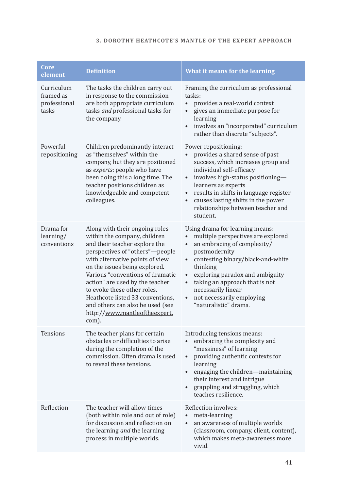#### **3. Dorothy Heathcote's Mantle of the Expert Approach**

| <b>Core</b><br>element                           | <b>Definition</b>                                                                                                                                                                                                                                                                                                                                                                                                                 | What it means for the learning                                                                                                                                                                                                                                                                                                                                                           |
|--------------------------------------------------|-----------------------------------------------------------------------------------------------------------------------------------------------------------------------------------------------------------------------------------------------------------------------------------------------------------------------------------------------------------------------------------------------------------------------------------|------------------------------------------------------------------------------------------------------------------------------------------------------------------------------------------------------------------------------------------------------------------------------------------------------------------------------------------------------------------------------------------|
| Curriculum<br>framed as<br>professional<br>tasks | The tasks the children carry out<br>in response to the commission<br>are both appropriate curriculum<br>tasks and professional tasks for<br>the company.                                                                                                                                                                                                                                                                          | Framing the curriculum as professional<br>tasks:<br>provides a real-world context<br>$\bullet$<br>gives an immediate purpose for<br>learning<br>involves an "incorporated" curriculum<br>$\bullet$<br>rather than discrete "subjects".                                                                                                                                                   |
| Powerful<br>repositioning                        | Children predominantly interact<br>as "themselves" within the<br>company, but they are positioned<br>as experts: people who have<br>been doing this a long time. The<br>teacher positions children as<br>knowledgeable and competent<br>colleagues.                                                                                                                                                                               | Power repositioning:<br>provides a shared sense of past<br>success, which increases group and<br>individual self-efficacy<br>involves high-status positioning-<br>$\bullet$<br>learners as experts<br>results in shifts in language register<br>$\bullet$<br>causes lasting shifts in the power<br>relationships between teacher and<br>student.                                         |
| Drama for<br>learning/<br>conventions            | Along with their ongoing roles<br>within the company, children<br>and their teacher explore the<br>perspectives of "others"-people<br>with alternative points of view<br>on the issues being explored.<br>Various "conventions of dramatic<br>action" are used by the teacher<br>to evoke these other roles.<br>Heathcote listed 33 conventions,<br>and others can also be used (see<br>http://www.mantleoftheexpert.<br>$com$ ). | Using drama for learning means:<br>multiple perspectives are explored<br>$\bullet$<br>an embracing of complexity/<br>$\bullet$<br>postmodernity<br>contesting binary/black-and-white<br>$\bullet$<br>thinking<br>exploring paradox and ambiguity<br>$\bullet$<br>taking an approach that is not<br>$\bullet$<br>necessarily linear<br>not necessarily employing<br>"naturalistic" drama. |
| Tensions                                         | The teacher plans for certain<br>obstacles or difficulties to arise<br>during the completion of the<br>commission. Often drama is used<br>to reveal these tensions.                                                                                                                                                                                                                                                               | Introducing tensions means:<br>embracing the complexity and<br>"messiness" of learning<br>providing authentic contexts for<br>$\bullet$<br>learning<br>engaging the children-maintaining<br>$\bullet$<br>their interest and intrigue<br>grappling and struggling, which<br>teaches resilience.                                                                                           |
| Reflection                                       | The teacher will allow times<br>(both within role and out of role)<br>for discussion and reflection on<br>the learning and the learning<br>process in multiple worlds.                                                                                                                                                                                                                                                            | Reflection involves:<br>meta-learning<br>$\bullet$<br>an awareness of multiple worlds<br>$\bullet$<br>(classroom, company, client, content),<br>which makes meta-awareness more<br>vivid.                                                                                                                                                                                                |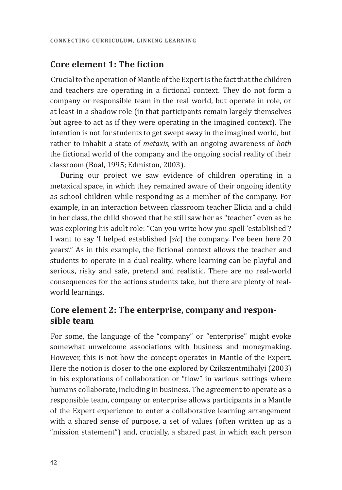### **Core element 1: The fiction**

Crucial to the operation of Mantle of the Expert is the fact that the children and teachers are operating in a fictional context. They do not form a company or responsible team in the real world, but operate in role, or at least in a shadow role (in that participants remain largely themselves but agree to act as if they were operating in the imagined context). The intention is not for students to get swept away in the imagined world, but rather to inhabit a state of *metaxis*, with an ongoing awareness of *both* the fictional world of the company and the ongoing social reality of their classroom (Boal, 1995; Edmiston, 2003).

During our project we saw evidence of children operating in a metaxical space, in which they remained aware of their ongoing identity as school children while responding as a member of the company. For example, in an interaction between classroom teacher Elicia and a child in her class, the child showed that he still saw her as "teacher" even as he was exploring his adult role: "Can you write how you spell 'established'? I want to say 'I helped established [*sic*] the company. I've been here 20 years'." As in this example, the fictional context allows the teacher and students to operate in a dual reality, where learning can be playful and serious, risky and safe, pretend and realistic. There are no real-world consequences for the actions students take, but there are plenty of realworld learnings.

### **Core element 2: The enterprise, company and responsible team**

For some, the language of the "company" or "enterprise" might evoke somewhat unwelcome associations with business and moneymaking. However, this is not how the concept operates in Mantle of the Expert. Here the notion is closer to the one explored by Czikszentmihalyi (2003) in his explorations of collaboration or "flow" in various settings where humans collaborate, including in business. The agreement to operate as a responsible team, company or enterprise allows participants in a Mantle of the Expert experience to enter a collaborative learning arrangement with a shared sense of purpose, a set of values (often written up as a "mission statement") and, crucially, a shared past in which each person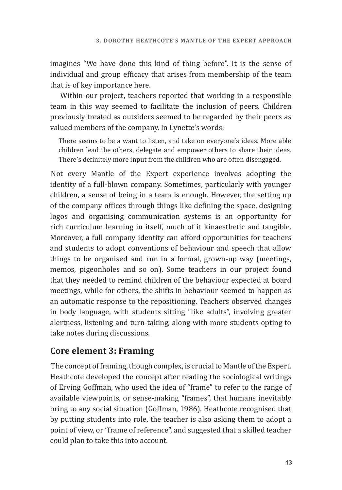imagines "We have done this kind of thing before". It is the sense of individual and group efficacy that arises from membership of the team that is of key importance here.

Within our project, teachers reported that working in a responsible team in this way seemed to facilitate the inclusion of peers. Children previously treated as outsiders seemed to be regarded by their peers as valued members of the company. In Lynette's words:

There seems to be a want to listen, and take on everyone's ideas. More able children lead the others, delegate and empower others to share their ideas. There's definitely more input from the children who are often disengaged.

Not every Mantle of the Expert experience involves adopting the identity of a full-blown company. Sometimes, particularly with younger children, a sense of being in a team is enough. However, the setting up of the company offices through things like defining the space, designing logos and organising communication systems is an opportunity for rich curriculum learning in itself, much of it kinaesthetic and tangible. Moreover, a full company identity can afford opportunities for teachers and students to adopt conventions of behaviour and speech that allow things to be organised and run in a formal, grown-up way (meetings, memos, pigeonholes and so on). Some teachers in our project found that they needed to remind children of the behaviour expected at board meetings, while for others, the shifts in behaviour seemed to happen as an automatic response to the repositioning. Teachers observed changes in body language, with students sitting "like adults", involving greater alertness, listening and turn-taking, along with more students opting to take notes during discussions.

### **Core element 3: Framing**

The concept of framing, though complex, is crucial to Mantle of the Expert. Heathcote developed the concept after reading the sociological writings of Erving Goffman, who used the idea of "frame" to refer to the range of available viewpoints, or sense-making "frames", that humans inevitably bring to any social situation (Goffman, 1986). Heathcote recognised that by putting students into role, the teacher is also asking them to adopt a point of view, or "frame of reference", and suggested that a skilled teacher could plan to take this into account.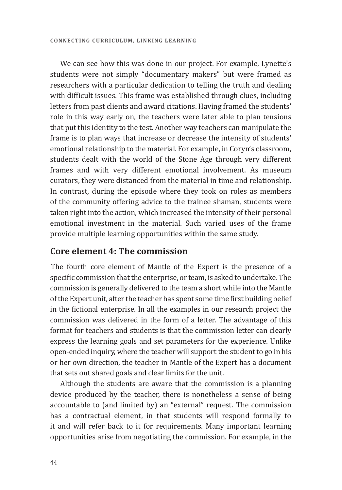We can see how this was done in our project. For example, Lynette's students were not simply "documentary makers" but were framed as researchers with a particular dedication to telling the truth and dealing with difficult issues. This frame was established through clues, including letters from past clients and award citations. Having framed the students' role in this way early on, the teachers were later able to plan tensions that put this identity to the test. Another way teachers can manipulate the frame is to plan ways that increase or decrease the intensity of students' emotional relationship to the material. For example, in Coryn's classroom, students dealt with the world of the Stone Age through very different frames and with very different emotional involvement. As museum curators, they were distanced from the material in time and relationship. In contrast, during the episode where they took on roles as members of the community offering advice to the trainee shaman, students were taken right into the action, which increased the intensity of their personal emotional investment in the material. Such varied uses of the frame provide multiple learning opportunities within the same study.

#### **Core element 4: The commission**

The fourth core element of Mantle of the Expert is the presence of a specific commission that the enterprise, or team, is asked to undertake. The commission is generally delivered to the team a short while into the Mantle of the Expert unit, after the teacher has spent some time first building belief in the fictional enterprise. In all the examples in our research project the commission was delivered in the form of a letter. The advantage of this format for teachers and students is that the commission letter can clearly express the learning goals and set parameters for the experience. Unlike open-ended inquiry, where the teacher will support the student to go in his or her own direction, the teacher in Mantle of the Expert has a document that sets out shared goals and clear limits for the unit.

Although the students are aware that the commission is a planning device produced by the teacher, there is nonetheless a sense of being accountable to (and limited by) an "external" request. The commission has a contractual element, in that students will respond formally to it and will refer back to it for requirements. Many important learning opportunities arise from negotiating the commission. For example, in the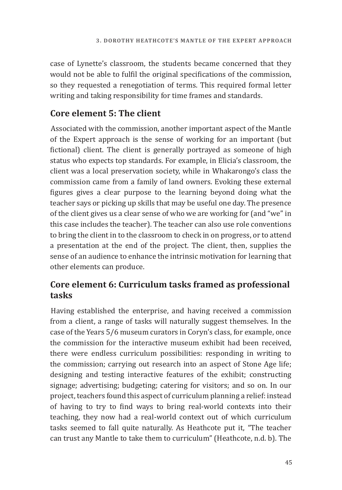case of Lynette's classroom, the students became concerned that they would not be able to fulfil the original specifications of the commission, so they requested a renegotiation of terms. This required formal letter writing and taking responsibility for time frames and standards.

## **Core element 5: The client**

Associated with the commission, another important aspect of the Mantle of the Expert approach is the sense of working for an important (but fictional) client. The client is generally portrayed as someone of high status who expects top standards. For example, in Elicia's classroom, the client was a local preservation society, while in Whakarongo's class the commission came from a family of land owners. Evoking these external figures gives a clear purpose to the learning beyond doing what the teacher says or picking up skills that may be useful one day. The presence of the client gives us a clear sense of who we are working for (and "we" in this case includes the teacher). The teacher can also use role conventions to bring the client in to the classroom to check in on progress, or to attend a presentation at the end of the project. The client, then, supplies the sense of an audience to enhance the intrinsic motivation for learning that other elements can produce.

## **Core element 6: Curriculum tasks framed as professional tasks**

Having established the enterprise, and having received a commission from a client, a range of tasks will naturally suggest themselves. In the case of the Years 5/6 museum curators in Coryn's class, for example, once the commission for the interactive museum exhibit had been received, there were endless curriculum possibilities: responding in writing to the commission; carrying out research into an aspect of Stone Age life; designing and testing interactive features of the exhibit; constructing signage; advertising; budgeting; catering for visitors; and so on. In our project, teachers found this aspect of curriculum planning a relief: instead of having to try to find ways to bring real-world contexts into their teaching, they now had a real-world context out of which curriculum tasks seemed to fall quite naturally. As Heathcote put it, "The teacher can trust any Mantle to take them to curriculum" (Heathcote, n.d. b). The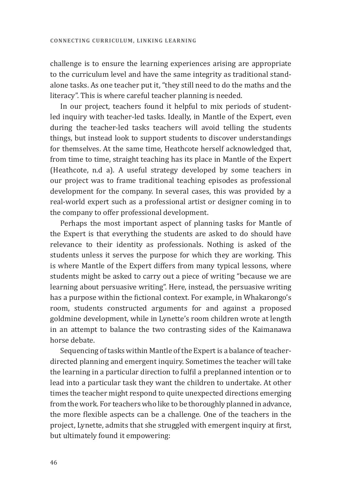challenge is to ensure the learning experiences arising are appropriate to the curriculum level and have the same integrity as traditional standalone tasks. As one teacher put it, "they still need to do the maths and the literacy". This is where careful teacher planning is needed.

In our project, teachers found it helpful to mix periods of studentled inquiry with teacher-led tasks. Ideally, in Mantle of the Expert, even during the teacher-led tasks teachers will avoid telling the students things, but instead look to support students to discover understandings for themselves. At the same time, Heathcote herself acknowledged that, from time to time, straight teaching has its place in Mantle of the Expert (Heathcote, n.d a). A useful strategy developed by some teachers in our project was to frame traditional teaching episodes as professional development for the company. In several cases, this was provided by a real-world expert such as a professional artist or designer coming in to the company to offer professional development.

Perhaps the most important aspect of planning tasks for Mantle of the Expert is that everything the students are asked to do should have relevance to their identity as professionals. Nothing is asked of the students unless it serves the purpose for which they are working. This is where Mantle of the Expert differs from many typical lessons, where students might be asked to carry out a piece of writing "because we are learning about persuasive writing". Here, instead, the persuasive writing has a purpose within the fictional context. For example, in Whakarongo's room, students constructed arguments for and against a proposed goldmine development, while in Lynette's room children wrote at length in an attempt to balance the two contrasting sides of the Kaimanawa horse debate.

Sequencing of tasks within Mantle of the Expert is a balance of teacherdirected planning and emergent inquiry. Sometimes the teacher will take the learning in a particular direction to fulfil a preplanned intention or to lead into a particular task they want the children to undertake. At other times the teacher might respond to quite unexpected directions emerging from the work. For teachers who like to be thoroughly planned in advance, the more flexible aspects can be a challenge. One of the teachers in the project, Lynette, admits that she struggled with emergent inquiry at first, but ultimately found it empowering: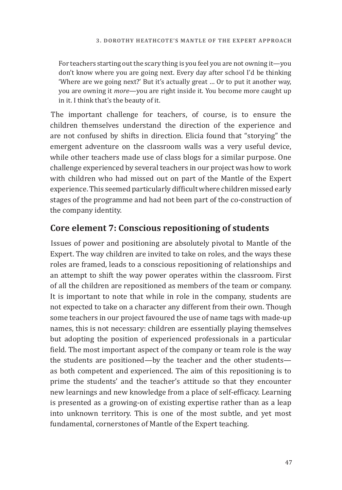For teachers starting out the scary thing is you feel you are not owning it—you don't know where you are going next. Every day after school I'd be thinking 'Where are we going next?' But it's actually great … Or to put it another way, you are owning it *more*—you are right inside it. You become more caught up in it. I think that's the beauty of it.

The important challenge for teachers, of course, is to ensure the children themselves understand the direction of the experience and are not confused by shifts in direction. Elicia found that "storying" the emergent adventure on the classroom walls was a very useful device, while other teachers made use of class blogs for a similar purpose. One challenge experienced by several teachers in our project was how to work with children who had missed out on part of the Mantle of the Expert experience. This seemed particularly difficult where children missed early stages of the programme and had not been part of the co-construction of the company identity.

## **Core element 7: Conscious repositioning of students**

Issues of power and positioning are absolutely pivotal to Mantle of the Expert. The way children are invited to take on roles, and the ways these roles are framed, leads to a conscious repositioning of relationships and an attempt to shift the way power operates within the classroom. First of all the children are repositioned as members of the team or company. It is important to note that while in role in the company, students are not expected to take on a character any different from their own. Though some teachers in our project favoured the use of name tags with made-up names, this is not necessary: children are essentially playing themselves but adopting the position of experienced professionals in a particular field. The most important aspect of the company or team role is the way the students are positioned—by the teacher and the other students as both competent and experienced. The aim of this repositioning is to prime the students' and the teacher's attitude so that they encounter new learnings and new knowledge from a place of self-efficacy. Learning is presented as a growing-on of existing expertise rather than as a leap into unknown territory. This is one of the most subtle, and yet most fundamental, cornerstones of Mantle of the Expert teaching.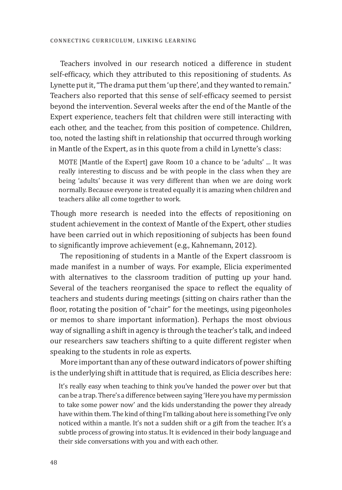Teachers involved in our research noticed a difference in student self-efficacy, which they attributed to this repositioning of students. As Lynette put it, "The drama put them 'up there', and they wanted to remain." Teachers also reported that this sense of self-efficacy seemed to persist beyond the intervention. Several weeks after the end of the Mantle of the Expert experience, teachers felt that children were still interacting with each other, and the teacher, from this position of competence. Children, too, noted the lasting shift in relationship that occurred through working in Mantle of the Expert, as in this quote from a child in Lynette's class:

MOTE [Mantle of the Expert] gave Room 10 a chance to be 'adults' ... It was really interesting to discuss and be with people in the class when they are being 'adults' because it was very different than when we are doing work normally. Because everyone is treated equally it is amazing when children and teachers alike all come together to work.

Though more research is needed into the effects of repositioning on student achievement in the context of Mantle of the Expert, other studies have been carried out in which repositioning of subjects has been found to significantly improve achievement (e.g., Kahnemann, 2012).

The repositioning of students in a Mantle of the Expert classroom is made manifest in a number of ways. For example, Elicia experimented with alternatives to the classroom tradition of putting up your hand. Several of the teachers reorganised the space to reflect the equality of teachers and students during meetings (sitting on chairs rather than the floor, rotating the position of "chair" for the meetings, using pigeonholes or memos to share important information). Perhaps the most obvious way of signalling a shift in agency is through the teacher's talk, and indeed our researchers saw teachers shifting to a quite different register when speaking to the students in role as experts.

More important than any of these outward indicators of power shifting is the underlying shift in attitude that is required, as Elicia describes here:

It's really easy when teaching to think you've handed the power over but that can be a trap. There's a difference between saying 'Here you have my permission to take some power now' and the kids understanding the power they already have within them. The kind of thing I'm talking about here is something I've only noticed within a mantle. It's not a sudden shift or a gift from the teacher. It's a subtle process of growing into status. It is evidenced in their body language and their side conversations with you and with each other.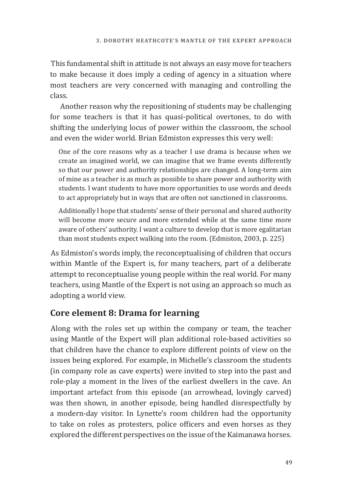This fundamental shift in attitude is not always an easy move for teachers to make because it does imply a ceding of agency in a situation where most teachers are very concerned with managing and controlling the class.

Another reason why the repositioning of students may be challenging for some teachers is that it has quasi-political overtones, to do with shifting the underlying locus of power within the classroom, the school and even the wider world. Brian Edmiston expresses this very well:

One of the core reasons why as a teacher I use drama is because when we create an imagined world, we can imagine that we frame events differently so that our power and authority relationships are changed. A long-term aim of mine as a teacher is as much as possible to share power and authority with students. I want students to have more opportunities to use words and deeds to act appropriately but in ways that are often not sanctioned in classrooms.

Additionally I hope that students' sense of their personal and shared authority will become more secure and more extended while at the same time more aware of others' authority. I want a culture to develop that is more egalitarian than most students expect walking into the room. (Edmiston, 2003, p. 225)

As Edmiston's words imply, the reconceptualising of children that occurs within Mantle of the Expert is, for many teachers, part of a deliberate attempt to reconceptualise young people within the real world. For many teachers, using Mantle of the Expert is not using an approach so much as adopting a world view.

## **Core element 8: Drama for learning**

Along with the roles set up within the company or team, the teacher using Mantle of the Expert will plan additional role-based activities so that children have the chance to explore different points of view on the issues being explored. For example, in Michelle's classroom the students (in company role as cave experts) were invited to step into the past and role-play a moment in the lives of the earliest dwellers in the cave. An important artefact from this episode (an arrowhead, lovingly carved) was then shown, in another episode, being handled disrespectfully by a modern-day visitor. In Lynette's room children had the opportunity to take on roles as protesters, police officers and even horses as they explored the different perspectives on the issue of the Kaimanawa horses.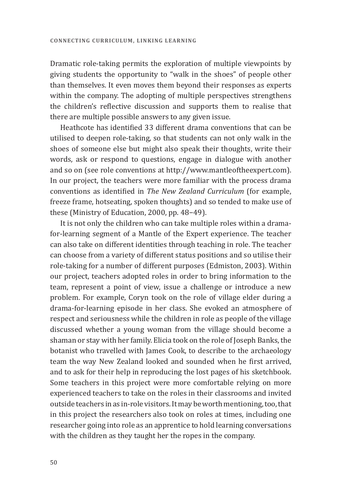Dramatic role-taking permits the exploration of multiple viewpoints by giving students the opportunity to "walk in the shoes" of people other than themselves. It even moves them beyond their responses as experts within the company. The adopting of multiple perspectives strengthens the children's reflective discussion and supports them to realise that there are multiple possible answers to any given issue.

Heathcote has identified 33 different drama conventions that can be utilised to deepen role-taking, so that students can not only walk in the shoes of someone else but might also speak their thoughts, write their words, ask or respond to questions, engage in dialogue with another and so on (see role conventions at http://www.mantleoftheexpert.com). In our project, the teachers were more familiar with the process drama conventions as identified in *The New Zealand Curriculum* (for example, freeze frame, hotseating, spoken thoughts) and so tended to make use of these (Ministry of Education, 2000, pp. 48−49).

It is not only the children who can take multiple roles within a dramafor-learning segment of a Mantle of the Expert experience. The teacher can also take on different identities through teaching in role. The teacher can choose from a variety of different status positions and so utilise their role-taking for a number of different purposes (Edmiston, 2003). Within our project, teachers adopted roles in order to bring information to the team, represent a point of view, issue a challenge or introduce a new problem. For example, Coryn took on the role of village elder during a drama-for-learning episode in her class. She evoked an atmosphere of respect and seriousness while the children in role as people of the village discussed whether a young woman from the village should become a shaman or stay with her family. Elicia took on the role of Joseph Banks, the botanist who travelled with James Cook, to describe to the archaeology team the way New Zealand looked and sounded when he first arrived, and to ask for their help in reproducing the lost pages of his sketchbook. Some teachers in this project were more comfortable relying on more experienced teachers to take on the roles in their classrooms and invited outside teachers in as in-role visitors. It may be worth mentioning, too, that in this project the researchers also took on roles at times, including one researcher going into role as an apprentice to hold learning conversations with the children as they taught her the ropes in the company.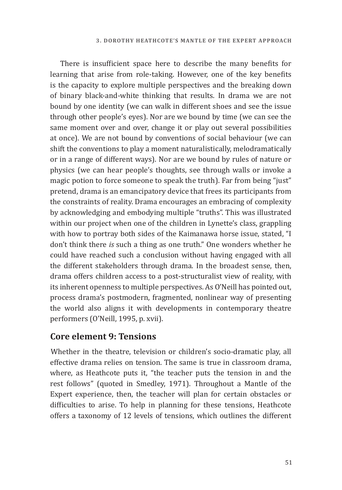There is insufficient space here to describe the many benefits for learning that arise from role-taking. However, one of the key benefits is the capacity to explore multiple perspectives and the breaking down of binary black-and-white thinking that results. In drama we are not bound by one identity (we can walk in different shoes and see the issue through other people's eyes). Nor are we bound by time (we can see the same moment over and over, change it or play out several possibilities at once). We are not bound by conventions of social behaviour (we can shift the conventions to play a moment naturalistically, melodramatically or in a range of different ways). Nor are we bound by rules of nature or physics (we can hear people's thoughts, see through walls or invoke a magic potion to force someone to speak the truth). Far from being "just" pretend, drama is an emancipatory device that frees its participants from the constraints of reality. Drama encourages an embracing of complexity by acknowledging and embodying multiple "truths". This was illustrated within our project when one of the children in Lynette's class, grappling with how to portray both sides of the Kaimanawa horse issue, stated, "I don't think there *is* such a thing as one truth." One wonders whether he could have reached such a conclusion without having engaged with all the different stakeholders through drama. In the broadest sense, then, drama offers children access to a post-structuralist view of reality, with its inherent openness to multiple perspectives. As O'Neill has pointed out, process drama's postmodern, fragmented, nonlinear way of presenting the world also aligns it with developments in contemporary theatre performers (O'Neill, 1995, p. xvii).

#### **Core element 9: Tensions**

Whether in the theatre, television or children's socio-dramatic play, all effective drama relies on tension. The same is true in classroom drama, where, as Heathcote puts it, "the teacher puts the tension in and the rest follows" (quoted in Smedley, 1971). Throughout a Mantle of the Expert experience, then, the teacher will plan for certain obstacles or difficulties to arise. To help in planning for these tensions, Heathcote offers a taxonomy of 12 levels of tensions, which outlines the different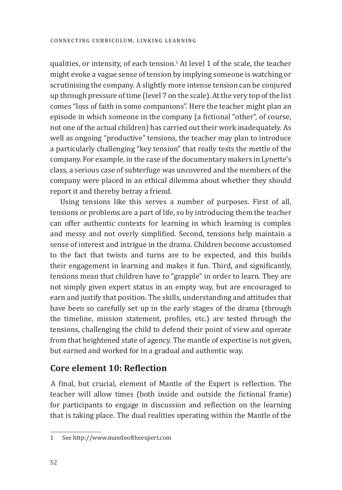qualities, or intensity, of each tension.1 At level 1 of the scale, the teacher might evoke a vague sense of tension by implying someone is watching or scrutinising the company. A slightly more intense tension can be conjured up through pressure of time (level 7 on the scale). At the very top of the list comes "loss of faith in some companions". Here the teacher might plan an episode in which someone in the company (a fictional "other", of course, not one of the actual children) has carried out their work inadequately. As well as ongoing "productive" tensions, the teacher may plan to introduce a particularly challenging "key tension" that really tests the mettle of the company. For example, in the case of the documentary makers in Lynette's class, a serious case of subterfuge was uncovered and the members of the company were placed in an ethical dilemma about whether they should report it and thereby betray a friend.

Using tensions like this serves a number of purposes. First of all, tensions or problems are a part of life, so by introducing them the teacher can offer authentic contexts for learning in which learning is complex and messy and not overly simplified. Second, tensions help maintain a sense of interest and intrigue in the drama. Children become accustomed to the fact that twists and turns are to be expected, and this builds their engagement in learning and makes it fun. Third, and significantly, tensions mean that children have to "grapple" in order to learn. They are not simply given expert status in an empty way, but are encouraged to earn and justify that position. The skills, understanding and attitudes that have been so carefully set up in the early stages of the drama (through the timeline, mission statement, profiles, etc.) are tested through the tensions, challenging the child to defend their point of view and operate from that heightened state of agency. The mantle of expertise is not given, but earned and worked for in a gradual and authentic way.

### **Core element 10: Reflection**

A final, but crucial, element of Mantle of the Expert is reflection. The teacher will allow times (both inside and outside the fictional frame) for participants to engage in discussion and reflection on the learning that is taking place. The dual realities operating within the Mantle of the

<sup>1</sup> See http://www.mantleoftheexpert.com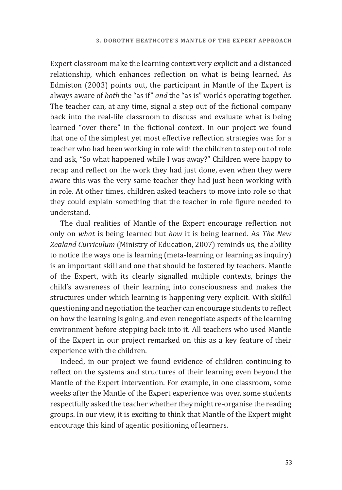Expert classroom make the learning context very explicit and a distanced relationship, which enhances reflection on what is being learned. As Edmiston (2003) points out, the participant in Mantle of the Expert is always aware of *both* the "as if" *and* the "as is" worlds operating together. The teacher can, at any time, signal a step out of the fictional company back into the real-life classroom to discuss and evaluate what is being learned "over there" in the fictional context. In our project we found that one of the simplest yet most effective reflection strategies was for a teacher who had been working in role with the children to step out of role and ask, "So what happened while I was away?" Children were happy to recap and reflect on the work they had just done, even when they were aware this was the very same teacher they had just been working with in role. At other times, children asked teachers to move into role so that they could explain something that the teacher in role figure needed to understand.

The dual realities of Mantle of the Expert encourage reflection not only on *what* is being learned but *how* it is being learned. As *The New Zealand Curriculum* (Ministry of Education, 2007) reminds us, the ability to notice the ways one is learning (meta-learning or learning as inquiry) is an important skill and one that should be fostered by teachers. Mantle of the Expert, with its clearly signalled multiple contexts, brings the child's awareness of their learning into consciousness and makes the structures under which learning is happening very explicit. With skilful questioning and negotiation the teacher can encourage students to reflect on how the learning is going, and even renegotiate aspects of the learning environment before stepping back into it. All teachers who used Mantle of the Expert in our project remarked on this as a key feature of their experience with the children.

Indeed, in our project we found evidence of children continuing to reflect on the systems and structures of their learning even beyond the Mantle of the Expert intervention. For example, in one classroom, some weeks after the Mantle of the Expert experience was over, some students respectfully asked the teacher whether they might re-organise the reading groups. In our view, it is exciting to think that Mantle of the Expert might encourage this kind of agentic positioning of learners.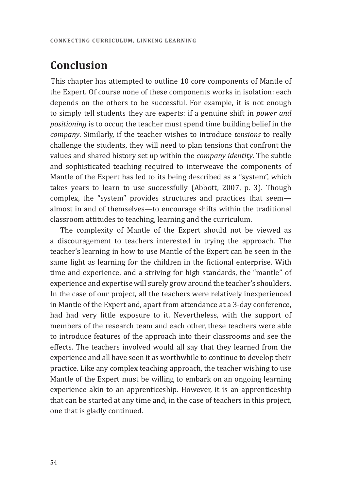## **Conclusion**

This chapter has attempted to outline 10 core components of Mantle of the Expert. Of course none of these components works in isolation: each depends on the others to be successful. For example, it is not enough to simply tell students they are experts: if a genuine shift in *power and positioning* is to occur, the teacher must spend time building belief in the *company*. Similarly, if the teacher wishes to introduce *tensions* to really challenge the students, they will need to plan tensions that confront the values and shared history set up within the *company identity*. The subtle and sophisticated teaching required to interweave the components of Mantle of the Expert has led to its being described as a "system", which takes years to learn to use successfully (Abbott, 2007, p. 3). Though complex, the "system" provides structures and practices that seem almost in and of themselves—to encourage shifts within the traditional classroom attitudes to teaching, learning and the curriculum.

The complexity of Mantle of the Expert should not be viewed as a discouragement to teachers interested in trying the approach. The teacher's learning in how to use Mantle of the Expert can be seen in the same light as learning for the children in the fictional enterprise. With time and experience, and a striving for high standards, the "mantle" of experience and expertise will surely grow around the teacher's shoulders. In the case of our project, all the teachers were relatively inexperienced in Mantle of the Expert and, apart from attendance at a 3-day conference, had had very little exposure to it. Nevertheless, with the support of members of the research team and each other, these teachers were able to introduce features of the approach into their classrooms and see the effects. The teachers involved would all say that they learned from the experience and all have seen it as worthwhile to continue to develop their practice. Like any complex teaching approach, the teacher wishing to use Mantle of the Expert must be willing to embark on an ongoing learning experience akin to an apprenticeship. However, it is an apprenticeship that can be started at any time and, in the case of teachers in this project, one that is gladly continued.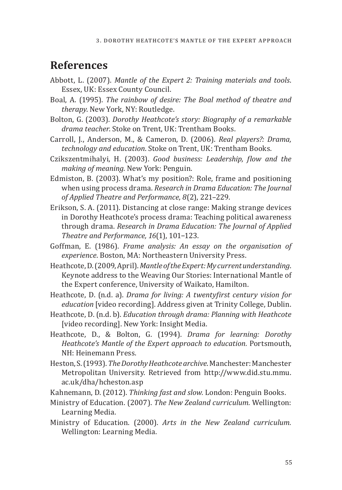## **References**

- Abbott, L. (2007). *Mantle of the Expert 2: Training materials and tools*. Essex, UK: Essex County Council.
- Boal, A. (1995). *The rainbow of desire: The Boal method of theatre and therapy*. New York, NY: Routledge.
- Bolton, G. (2003). *Dorothy Heathcote's story: Biography of a remarkable drama teacher*. Stoke on Trent, UK: Trentham Books.
- Carroll, J., Anderson, M., & Cameron, D. (2006). *Real players?: Drama, technology and education*. Stoke on Trent, UK: Trentham Books.
- Czikszentmihalyi, H. (2003). *Good business: Leadership, flow and the making of meaning.* New York: Penguin.
- Edmiston, B. (2003). What's my position?: Role, frame and positioning when using process drama. *Research in Drama Education: The Journal of Applied Theatre and Performance*, *8*(2), 221–229.
- Erikson, S. A. (2011). Distancing at close range: Making strange devices in Dorothy Heathcote's process drama: Teaching political awareness through drama. *Research in Drama Education: The Journal of Applied Theatre and Performance, 16*(1), 101−123.
- Goffman, E. (1986). *Frame analysis: An essay on the organisation of experience*. Boston, MA: Northeastern University Press.
- Heathcote, D. (2009, April). *Mantle of the Expert: My current understanding*. Keynote address to the Weaving Our Stories: International Mantle of the Expert conference, University of Waikato, Hamilton.
- Heathcote, D. (n.d. a). *Drama for living: A twentyfirst century vision for education* [video recording]. Address given at Trinity College, Dublin.
- Heathcote, D. (n.d. b). *Education through drama: Planning with Heathcote* [video recording]. New York: Insight Media.
- Heathcote, D., & Bolton, G. (1994). *Drama for learning: Dorothy Heathcote's Mantle of the Expert approach to education.* Portsmouth, NH: Heinemann Press.
- Heston, S. (1993). *The Dorothy Heathcote archive*. Manchester: Manchester Metropolitan University. Retrieved from http://www.did.stu.mmu. ac.uk/dha/hcheston.asp
- Kahnemann, D. (2012). *Thinking fast and slow.* London: Penguin Books.
- Ministry of Education. (2007). *The New Zealand curriculum.* Wellington: Learning Media.
- Ministry of Education. (2000). *Arts in the New Zealand curriculum.*  Wellington: Learning Media.